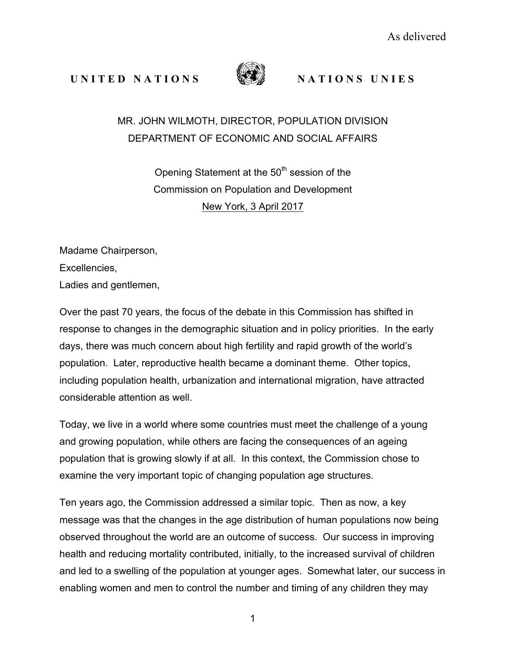## **UNITED NATIONS** WE NATIONS UNIES



## MR. JOHN WILMOTH, DIRECTOR, POPULATION DIVISION DEPARTMENT OF ECONOMIC AND SOCIAL AFFAIRS

Opening Statement at the 50<sup>th</sup> session of the Commission on Population and Development New York, 3 April 2017

Madame Chairperson, Excellencies, Ladies and gentlemen,

Over the past 70 years, the focus of the debate in this Commission has shifted in response to changes in the demographic situation and in policy priorities. In the early days, there was much concern about high fertility and rapid growth of the world's population. Later, reproductive health became a dominant theme. Other topics, including population health, urbanization and international migration, have attracted considerable attention as well.

Today, we live in a world where some countries must meet the challenge of a young and growing population, while others are facing the consequences of an ageing population that is growing slowly if at all. In this context, the Commission chose to examine the very important topic of changing population age structures.

Ten years ago, the Commission addressed a similar topic. Then as now, a key message was that the changes in the age distribution of human populations now being observed throughout the world are an outcome of success. Our success in improving health and reducing mortality contributed, initially, to the increased survival of children and led to a swelling of the population at younger ages. Somewhat later, our success in enabling women and men to control the number and timing of any children they may

1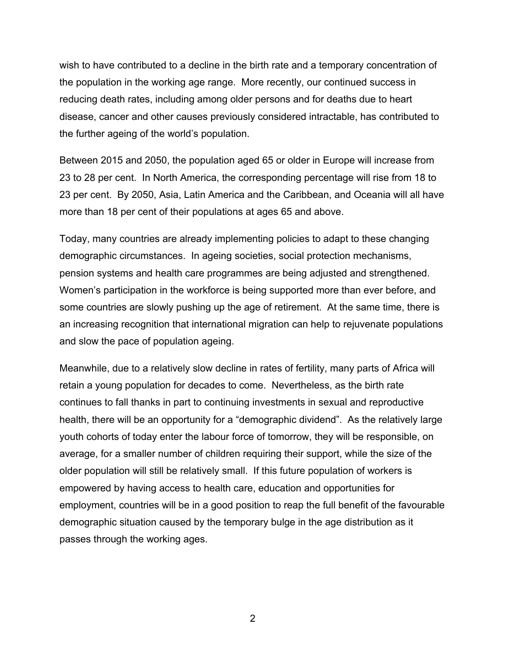wish to have contributed to a decline in the birth rate and a temporary concentration of the population in the working age range. More recently, our continued success in reducing death rates, including among older persons and for deaths due to heart disease, cancer and other causes previously considered intractable, has contributed to the further ageing of the world's population.

Between 2015 and 2050, the population aged 65 or older in Europe will increase from 23 to 28 per cent. In North America, the corresponding percentage will rise from 18 to 23 per cent. By 2050, Asia, Latin America and the Caribbean, and Oceania will all have more than 18 per cent of their populations at ages 65 and above.

Today, many countries are already implementing policies to adapt to these changing demographic circumstances. In ageing societies, social protection mechanisms, pension systems and health care programmes are being adjusted and strengthened. Women's participation in the workforce is being supported more than ever before, and some countries are slowly pushing up the age of retirement. At the same time, there is an increasing recognition that international migration can help to rejuvenate populations and slow the pace of population ageing.

Meanwhile, due to a relatively slow decline in rates of fertility, many parts of Africa will retain a young population for decades to come. Nevertheless, as the birth rate continues to fall thanks in part to continuing investments in sexual and reproductive health, there will be an opportunity for a "demographic dividend". As the relatively large youth cohorts of today enter the labour force of tomorrow, they will be responsible, on average, for a smaller number of children requiring their support, while the size of the older population will still be relatively small. If this future population of workers is empowered by having access to health care, education and opportunities for employment, countries will be in a good position to reap the full benefit of the favourable demographic situation caused by the temporary bulge in the age distribution as it passes through the working ages.

2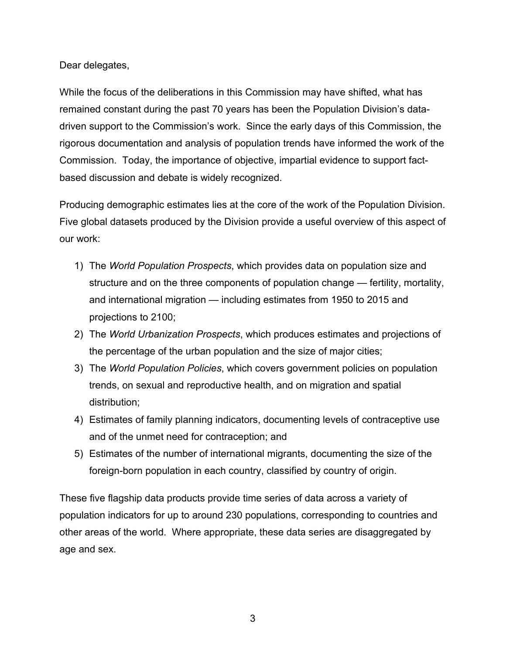Dear delegates,

While the focus of the deliberations in this Commission may have shifted, what has remained constant during the past 70 years has been the Population Division's datadriven support to the Commission's work. Since the early days of this Commission, the rigorous documentation and analysis of population trends have informed the work of the Commission. Today, the importance of objective, impartial evidence to support factbased discussion and debate is widely recognized.

Producing demographic estimates lies at the core of the work of the Population Division. Five global datasets produced by the Division provide a useful overview of this aspect of our work:

- 1) The *World Population Prospects*, which provides data on population size and structure and on the three components of population change — fertility, mortality, and international migration — including estimates from 1950 to 2015 and projections to 2100;
- 2) The *World Urbanization Prospects*, which produces estimates and projections of the percentage of the urban population and the size of major cities;
- 3) The *World Population Policies*, which covers government policies on population trends, on sexual and reproductive health, and on migration and spatial distribution;
- 4) Estimates of family planning indicators, documenting levels of contraceptive use and of the unmet need for contraception; and
- 5) Estimates of the number of international migrants, documenting the size of the foreign-born population in each country, classified by country of origin.

These five flagship data products provide time series of data across a variety of population indicators for up to around 230 populations, corresponding to countries and other areas of the world. Where appropriate, these data series are disaggregated by age and sex.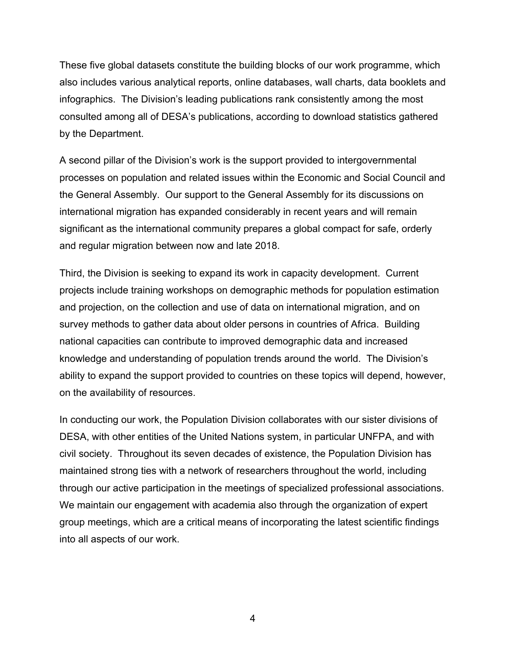These five global datasets constitute the building blocks of our work programme, which also includes various analytical reports, online databases, wall charts, data booklets and infographics. The Division's leading publications rank consistently among the most consulted among all of DESA's publications, according to download statistics gathered by the Department.

A second pillar of the Division's work is the support provided to intergovernmental processes on population and related issues within the Economic and Social Council and the General Assembly. Our support to the General Assembly for its discussions on international migration has expanded considerably in recent years and will remain significant as the international community prepares a global compact for safe, orderly and regular migration between now and late 2018.

Third, the Division is seeking to expand its work in capacity development. Current projects include training workshops on demographic methods for population estimation and projection, on the collection and use of data on international migration, and on survey methods to gather data about older persons in countries of Africa. Building national capacities can contribute to improved demographic data and increased knowledge and understanding of population trends around the world. The Division's ability to expand the support provided to countries on these topics will depend, however, on the availability of resources.

In conducting our work, the Population Division collaborates with our sister divisions of DESA, with other entities of the United Nations system, in particular UNFPA, and with civil society. Throughout its seven decades of existence, the Population Division has maintained strong ties with a network of researchers throughout the world, including through our active participation in the meetings of specialized professional associations. We maintain our engagement with academia also through the organization of expert group meetings, which are a critical means of incorporating the latest scientific findings into all aspects of our work.

4